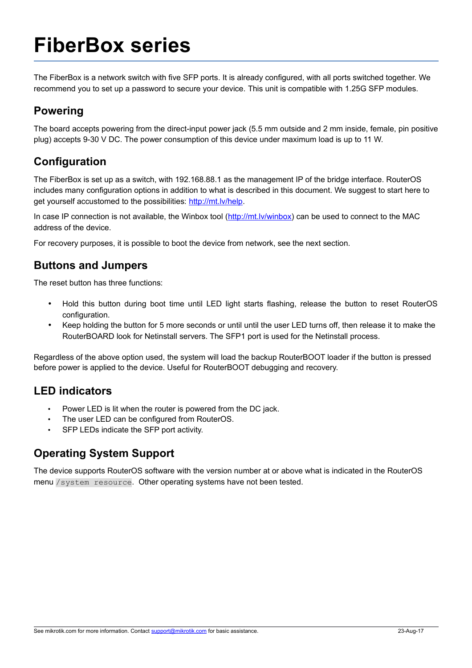# **FiberBox series**

The FiberBox is a network switch with five SFP ports. It is already configured, with all ports switched together. We recommend you to set up a password to secure your device. This unit is compatible with 1.25G SFP modules.

#### **Powering**

The board accepts powering from the direct-input power jack (5.5 mm outside and 2 mm inside, female, pin positive plug) accepts 9-30 V DC. The power consumption of this device under maximum load is up to 11 W.

## **Configuration**

The FiberBox is set up as a switch, with 192.168.88.1 as the management IP of the bridge interface. RouterOS includes many configuration options in addition to what is described in this document. We suggest to start here to get yourself accustomed to the possibilities: [http://mt.lv/help.](http://mt.lv/help)

In case IP connection is not available, the Winbox tool [\(http://mt.lv/winbox\)](http://mt.lv/winbox) can be used to connect to the MAC address of the device.

For recovery purposes, it is possible to boot the device from network, see the next section.

### **Buttons and Jumpers**

The reset button has three functions:

- Hold this button during boot time until LED light starts flashing, release the button to reset RouterOS configuration.
- Keep holding the button for 5 more seconds or until until the user LED turns off, then release it to make the RouterBOARD look for Netinstall servers. The SFP1 port is used for the Netinstall process.

Regardless of the above option used, the system will load the backup RouterBOOT loader if the button is pressed before power is applied to the device. Useful for RouterBOOT debugging and recovery.

#### **LED indicators**

- Power LED is lit when the router is powered from the DC jack.
- The user LED can be configured from RouterOS.
- SFP LEDs indicate the SFP port activity.

#### **Operating System Support**

The device supports RouterOS software with the version number at or above what is indicated in the RouterOS menu /system resource. Other operating systems have not been tested.